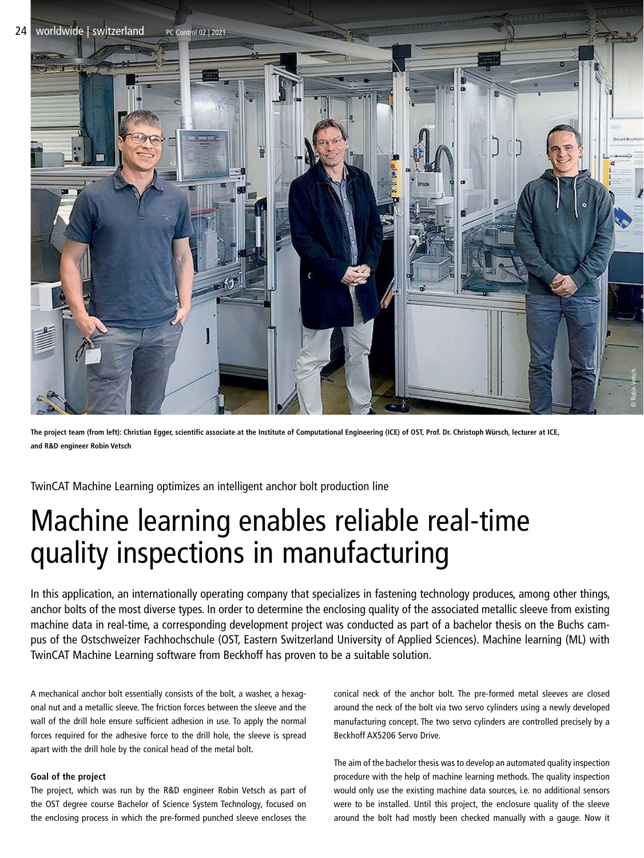

**The project team (from left): Christian Egger, scientific associate at the Institute of Computational Engineering (ICE) of OST, Prof. Dr. Christoph Würsch, lecturer at ICE, and R&D engineer Robin Vetsch**

TwinCAT Machine Learning optimizes an intelligent anchor bolt production line

## Machine learning enables reliable real-time quality inspections in manufacturing

In this application, an internationally operating company that specializes in fastening technology produces, among other things, anchor bolts of the most diverse types. In order to determine the enclosing quality of the associated metallic sleeve from existing machine data in real-time, a corresponding development project was conducted as part of a bachelor thesis on the Buchs campus of the Ostschweizer Fachhochschule (OST, Eastern Switzerland University of Applied Sciences). Machine learning (ML) with TwinCAT Machine Learning software from Beckhoff has proven to be a suitable solution.

A mechanical anchor bolt essentially consists of the bolt, a washer, a hexagonal nut and a metallic sleeve. The friction forces between the sleeve and the wall of the drill hole ensure sufficient adhesion in use. To apply the normal forces required for the adhesive force to the drill hole, the sleeve is spread apart with the drill hole by the conical head of the metal bolt.

## **Goal of the project**

The project, which was run by the R&D engineer Robin Vetsch as part of the OST degree course Bachelor of Science System Technology, focused on the enclosing process in which the pre-formed punched sleeve encloses the

conical neck of the anchor bolt. The pre-formed metal sleeves are closed around the neck of the bolt via two servo cylinders using a newly developed manufacturing concept. The two servo cylinders are controlled precisely by a Beckhoff AX5206 Servo Drive.

The aim of the bachelor thesis was to develop an automated quality inspection procedure with the help of machine learning methods. The quality inspection would only use the existing machine data sources, i.e. no additional sensors were to be installed. Until this project, the enclosure quality of the sleeve around the bolt had mostly been checked manually with a gauge. Now it